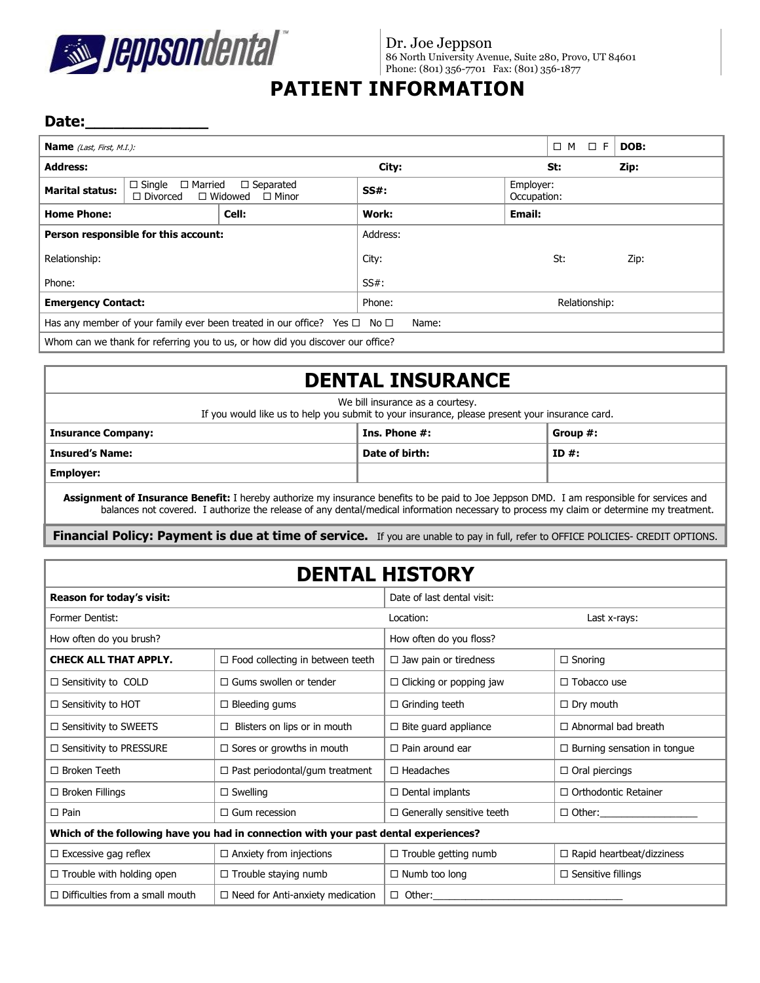

Dr. Joe Jeppson 86 North University Avenue, Suite 280, Provo, UT 84601 Phone: (801) 356-7701 Fax: (801) 356-1877

# **PATIENT INFORMATION**

#### Date:

| <b>Name</b> ( <i>Last, First, M.I.</i> ):                                                          |                                                                                                          |  |          |                          | $\Box$ M<br>-F<br>$\Box$ | DOB: |
|----------------------------------------------------------------------------------------------------|----------------------------------------------------------------------------------------------------------|--|----------|--------------------------|--------------------------|------|
| <b>Address:</b>                                                                                    |                                                                                                          |  | City:    |                          | St:                      | Zip: |
| <b>Marital status:</b>                                                                             | $\Box$ Single<br>$\Box$ Married<br>$\Box$ Separated<br>$\Box$ Widowed<br>$\Box$ Divorced<br>$\Box$ Minor |  | $SS#$ :  | Employer:<br>Occupation: |                          |      |
| <b>Home Phone:</b>                                                                                 | Cell:                                                                                                    |  | Work:    | Email:                   |                          |      |
| Person responsible for this account:                                                               |                                                                                                          |  | Address: |                          |                          |      |
| Relationship:                                                                                      |                                                                                                          |  | City:    |                          | St:                      | Zip: |
| Phone:                                                                                             |                                                                                                          |  | $SS#$ :  |                          |                          |      |
| <b>Emergency Contact:</b>                                                                          |                                                                                                          |  | Phone:   | Relationship:            |                          |      |
| Has any member of your family ever been treated in our office? Yes $\square$ No $\square$<br>Name: |                                                                                                          |  |          |                          |                          |      |
| Whom can we thank for referring you to us, or how did you discover our office?                     |                                                                                                          |  |          |                          |                          |      |

## **DENTAL INSURANCE**

We bill insurance as a courtesy. If you would like us to help you submit to your insurance, please present your insurance card.

| <b>Insurance Company:</b> | Ins. Phone #:  | Group #: |  |
|---------------------------|----------------|----------|--|
| Insured's Name:           | Date of birth: | $ID#$ :  |  |
| <b>Employer:</b>          |                |          |  |

**Assignment of Insurance Benefit:** I hereby authorize my insurance benefits to be paid to Joe Jeppson DMD. I am responsible for services and balances not covered. I authorize the release of any dental/medical information necessary to process my claim or determine my treatment.

**Financial Policy: Payment is due at time of service.** If you are unable to pay in full, refer to OFFICE POLICIES- CREDIT OPTIONS.

| <b>DENTAL HISTORY</b>                                                                |                                         |                                                   |                                    |  |  |
|--------------------------------------------------------------------------------------|-----------------------------------------|---------------------------------------------------|------------------------------------|--|--|
| <b>Reason for today's visit:</b>                                                     |                                         | Date of last dental visit:                        |                                    |  |  |
| Former Dentist:                                                                      |                                         | Location:                                         | Last x-rays:                       |  |  |
| How often do you brush?                                                              |                                         | How often do you floss?                           |                                    |  |  |
| <b>CHECK ALL THAT APPLY.</b>                                                         | $\Box$ Food collecting in between teeth | $\Box$ Jaw pain or tiredness                      | $\Box$ Snoring                     |  |  |
| $\Box$ Sensitivity to COLD                                                           | $\Box$ Gums swollen or tender           | $\Box$ Clicking or popping jaw                    | $\Box$ Tobacco use                 |  |  |
| $\Box$ Sensitivity to HOT                                                            | $\Box$ Bleeding gums                    | $\Box$ Grinding teeth                             | $\Box$ Dry mouth                   |  |  |
| $\Box$ Sensitivity to SWEETS                                                         | Blisters on lips or in mouth            | $\Box$ Bite quard appliance                       | $\Box$ Abnormal bad breath         |  |  |
| $\Box$ Sensitivity to PRESSURE                                                       | $\Box$ Sores or growths in mouth        | $\Box$ Pain around ear                            | $\Box$ Burning sensation in tongue |  |  |
| $\Box$ Broken Teeth                                                                  | $\Box$ Past periodontal/gum treatment   | $\Box$ Headaches                                  | $\Box$ Oral piercings              |  |  |
| $\Box$ Broken Fillings                                                               | $\Box$ Swelling                         | $\Box$ Dental implants                            | $\Box$ Orthodontic Retainer        |  |  |
| $\Box$ Pain<br>$\Box$ Gum recession                                                  |                                         | $\Box$ Generally sensitive teeth                  | $\Box$ Other:                      |  |  |
| Which of the following have you had in connection with your past dental experiences? |                                         |                                                   |                                    |  |  |
| $\Box$ Excessive gag reflex                                                          | $\Box$ Anxiety from injections          | $\Box$ Trouble getting numb                       | $\Box$ Rapid heartbeat/dizziness   |  |  |
| $\Box$ Trouble with holding open                                                     | $\Box$ Trouble staying numb             | $\Box$ Numb too long<br>$\Box$ Sensitive fillings |                                    |  |  |
| $\Box$ Difficulties from a small mouth                                               | $\Box$ Need for Anti-anxiety medication | $\Box$ Other:                                     |                                    |  |  |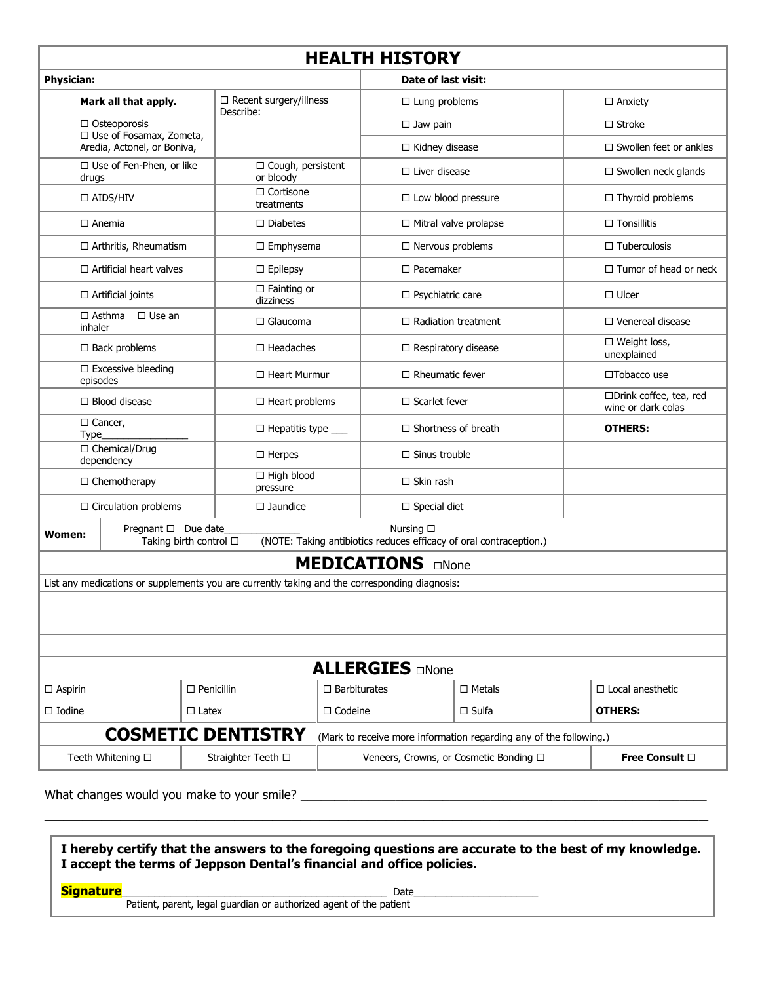## **HEALTH HISTORY**

٦

| HEALIH HISIUKT                                                                                                                                    |                                |                                            |                                       |                                                                    |  |                                               |  |
|---------------------------------------------------------------------------------------------------------------------------------------------------|--------------------------------|--------------------------------------------|---------------------------------------|--------------------------------------------------------------------|--|-----------------------------------------------|--|
| <b>Date of last visit:</b><br><b>Physician:</b>                                                                                                   |                                |                                            |                                       |                                                                    |  |                                               |  |
| Mark all that apply.                                                                                                                              |                                | $\Box$ Recent surgery/illness<br>Describe: |                                       | $\square$ Lung problems                                            |  | $\Box$ Anxiety                                |  |
| $\Box$ Osteoporosis<br>□ Use of Fosamax, Zometa,                                                                                                  |                                |                                            |                                       | $\square$ Jaw pain                                                 |  | $\Box$ Stroke                                 |  |
|                                                                                                                                                   | Aredia, Actonel, or Boniva,    |                                            |                                       | □ Kidney disease                                                   |  | $\Box$ Swollen feet or ankles                 |  |
| □ Use of Fen-Phen, or like<br>drugs                                                                                                               |                                | □ Cough, persistent<br>or bloody           |                                       | $\Box$ Liver disease                                               |  | $\Box$ Swollen neck glands                    |  |
|                                                                                                                                                   | $\Box$ AIDS/HIV                | □ Cortisone<br>treatments                  | $\Box$ Low blood pressure             |                                                                    |  | $\Box$ Thyroid problems                       |  |
| $\Box$ Anemia                                                                                                                                     |                                | $\Box$ Diabetes                            |                                       | $\Box$ Mitral valve prolapse                                       |  | $\Box$ Tonsillitis                            |  |
|                                                                                                                                                   | □ Arthritis, Rheumatism        | $\Box$ Emphysema                           | $\Box$ Nervous problems               |                                                                    |  | $\Box$ Tuberculosis                           |  |
|                                                                                                                                                   | $\Box$ Artificial heart valves | $\Box$ Epilepsy                            |                                       | $\Box$ Pacemaker                                                   |  | $\Box$ Tumor of head or neck                  |  |
|                                                                                                                                                   | $\Box$ Artificial joints       | $\Box$ Fainting or<br>dizziness            |                                       | □ Psychiatric care                                                 |  | $\Box$ Ulcer                                  |  |
| $\Box$ Asthma<br>inhaler                                                                                                                          | $\Box$ Use an                  | $\Box$ Glaucoma                            |                                       | $\Box$ Radiation treatment                                         |  | $\Box$ Venereal disease                       |  |
| $\Box$ Back problems                                                                                                                              |                                | $\Box$ Headaches                           |                                       | $\Box$ Respiratory disease                                         |  | □ Weight loss,<br>unexplained                 |  |
| $\square$ Excessive bleeding<br>episodes                                                                                                          |                                | $\Box$ Heart Murmur                        |                                       | $\Box$ Rheumatic fever                                             |  | $\square$ Tobacco use                         |  |
| $\Box$ Blood disease                                                                                                                              |                                | $\Box$ Heart problems                      |                                       | $\Box$ Scarlet fever                                               |  | □Drink coffee, tea, red<br>wine or dark colas |  |
| $\Box$ Cancer,<br>Type                                                                                                                            |                                | $\Box$ Hepatitis type $\_\_$               |                                       | $\Box$ Shortness of breath                                         |  | <b>OTHERS:</b>                                |  |
| □ Chemical/Drug<br>dependency                                                                                                                     |                                | $\Box$ Herpes                              | $\Box$ Sinus trouble                  |                                                                    |  |                                               |  |
|                                                                                                                                                   | $\Box$ Chemotherapy            |                                            | $\Box$ High blood<br>$\Box$ Skin rash |                                                                    |  |                                               |  |
| $\Box$ Circulation problems                                                                                                                       |                                | $\square$ Jaundice                         | $\Box$ Special diet                   |                                                                    |  |                                               |  |
| Nursing □<br>Pregnant □ Due date<br><b>Women:</b><br>(NOTE: Taking antibiotics reduces efficacy of oral contraception.)<br>Taking birth control □ |                                |                                            |                                       |                                                                    |  |                                               |  |
| <b>MEDICATIONS</b><br>$\square$ None                                                                                                              |                                |                                            |                                       |                                                                    |  |                                               |  |
| List any medications or supplements you are currently taking and the corresponding diagnosis:                                                     |                                |                                            |                                       |                                                                    |  |                                               |  |
|                                                                                                                                                   |                                |                                            |                                       |                                                                    |  |                                               |  |
|                                                                                                                                                   |                                |                                            |                                       |                                                                    |  |                                               |  |
|                                                                                                                                                   |                                |                                            |                                       |                                                                    |  |                                               |  |
| <b>ALLERGIES ONONE</b>                                                                                                                            |                                |                                            |                                       |                                                                    |  |                                               |  |
| $\Box$ Aspirin                                                                                                                                    |                                | $\Box$ Penicillin                          | $\Box$ Barbiturates                   | $\Box$ Metals                                                      |  | $\Box$ Local anesthetic                       |  |
| $\Box$ Iodine                                                                                                                                     | $\Box$ Latex                   |                                            | $\Box$ Codeine                        | $\Box$ Sulfa                                                       |  | <b>OTHERS:</b>                                |  |
|                                                                                                                                                   |                                | <b>COSMETIC DENTISTRY</b>                  |                                       | (Mark to receive more information regarding any of the following.) |  |                                               |  |
| Teeth Whitening □                                                                                                                                 |                                | Straighter Teeth □                         |                                       | Veneers, Crowns, or Cosmetic Bonding □                             |  | Free Consult □                                |  |
|                                                                                                                                                   |                                |                                            |                                       |                                                                    |  |                                               |  |

What changes would you make to your smile? \_\_\_\_\_\_\_\_\_\_\_\_\_\_\_\_\_\_\_\_\_\_\_\_\_\_\_\_\_\_\_\_\_\_\_\_\_\_\_\_\_\_\_\_\_\_\_\_\_\_\_\_\_\_\_\_\_\_\_\_

Г

| I hereby certify that the answers to the foregoing questions are accurate to the best of my knowledge.<br>I accept the terms of Jeppson Dental's financial and office policies. |      |  |  |
|---------------------------------------------------------------------------------------------------------------------------------------------------------------------------------|------|--|--|
| <b>Signature</b><br>Patient, parent, legal quardian or authorized agent of the patient                                                                                          | Date |  |  |

 $\overline{\phantom{a}}$  , and the contribution of the contribution of the contribution of the contribution of the contribution of the contribution of the contribution of the contribution of the contribution of the contribution of the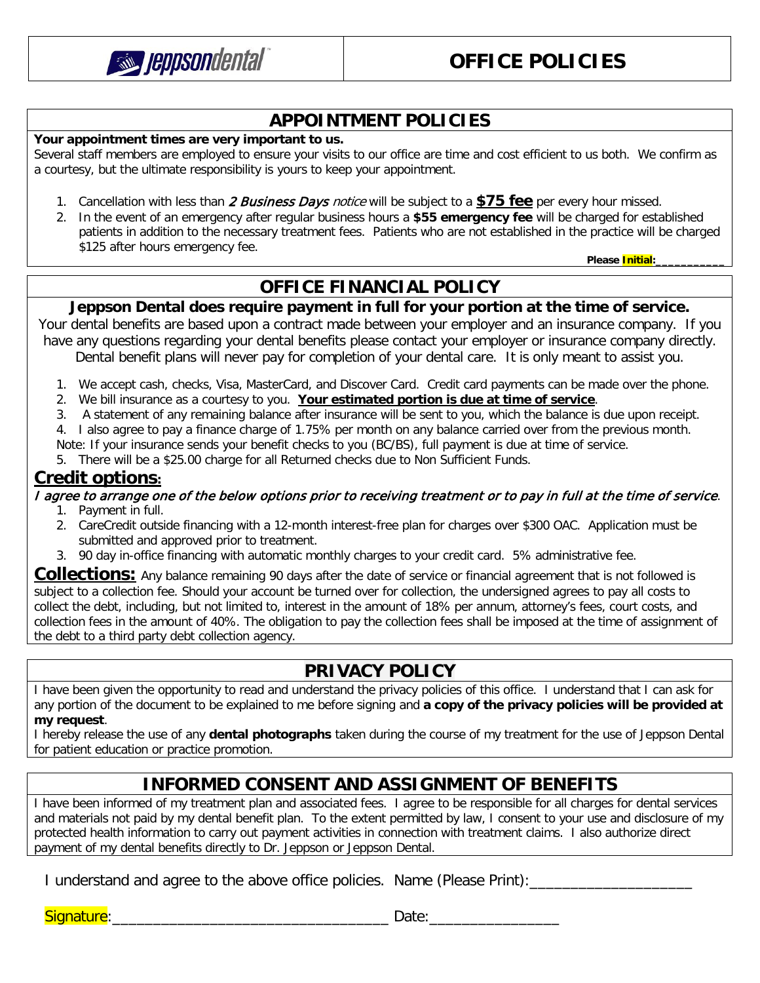

### **APPOINTMENT POLICIES**

**Your appointment times are very important to us.** 

Several staff members are employed to ensure your visits to our office are time and cost efficient to us both. We confirm as a courtesy, but the ultimate responsibility is yours to keep your appointment.

- 1. Cancellation with less than 2 Business Days notice will be subject to a **\$75 fee** per every hour missed.
- 2. In the event of an emergency after regular business hours a **\$55 emergency fee** will be charged for established patients in addition to the necessary treatment fees. Patients who are not established in the practice will be charged \$125 after hours emergency fee.

 **Please Initial:\_\_\_\_\_\_\_\_\_\_\_**

### **OFFICE FINANCIAL POLICY**

**Jeppson Dental does require payment in full for your portion at the time of service.**

Your dental benefits are based upon a contract made between your employer and an insurance company. If you have any questions regarding your dental benefits please contact your employer or insurance company directly. Dental benefit plans will never pay for completion of your dental care. It is only meant to assist you.

- 1. We accept cash, checks, Visa, MasterCard, and Discover Card. Credit card payments can be made over the phone.
- 2. We bill insurance as a courtesy to you. **Your estimated portion is due at time of service**.
- 3. A statement of any remaining balance after insurance will be sent to you, which the balance is due upon receipt.

4. I also agree to pay a finance charge of 1.75% per month on any balance carried over from the previous month. Note: If your insurance sends your benefit checks to you (BC/BS), full payment is due at time of service.

5. There will be a \$25.00 charge for all Returned checks due to Non Sufficient Funds.

#### **Credit options:**

I agree to arrange one of the below options prior to receiving treatment or to pay in full at the time of service.

- 1. Payment in full.
- 2. CareCredit outside financing with a 12-month interest-free plan for charges over \$300 OAC. Application must be submitted and approved prior to treatment.
- 3. 90 day in-office financing with automatic monthly charges to your credit card. 5% administrative fee.

**Collections:** Any balance remaining 90 days after the date of service or financial agreement that is not followed is subject to a collection fee. Should your account be turned over for collection, the undersigned agrees to pay all costs to collect the debt, including, but not limited to, interest in the amount of 18% per annum, attorney's fees, court costs, and collection fees in the amount of 40%. The obligation to pay the collection fees shall be imposed at the time of assignment of the debt to a third party debt collection agency.

### **PRIVACY POLICY**

I have been given the opportunity to read and understand the privacy policies of this office. I understand that I can ask for any portion of the document to be explained to me before signing and **a copy of the privacy policies will be provided at my request**.

I hereby release the use of any **dental photographs** taken during the course of my treatment for the use of Jeppson Dental for patient education or practice promotion.

### **INFORMED CONSENT AND ASSIGNMENT OF BENEFITS**

I have been informed of my treatment plan and associated fees. I agree to be responsible for all charges for dental services and materials not paid by my dental benefit plan. To the extent permitted by law, I consent to your use and disclosure of my protected health information to carry out payment activities in connection with treatment claims. I also authorize direct payment of my dental benefits directly to Dr. Jeppson or Jeppson Dental.

I understand and agree to the above office policies. Name (Please Print):\_\_\_\_\_\_\_\_\_\_\_\_\_\_\_\_\_\_\_\_

Signature:\_\_\_\_\_\_\_\_\_\_\_\_\_\_\_\_\_\_\_\_\_\_\_\_\_\_\_\_\_\_\_\_\_\_ Date:\_\_\_\_\_\_\_\_\_\_\_\_\_\_\_\_